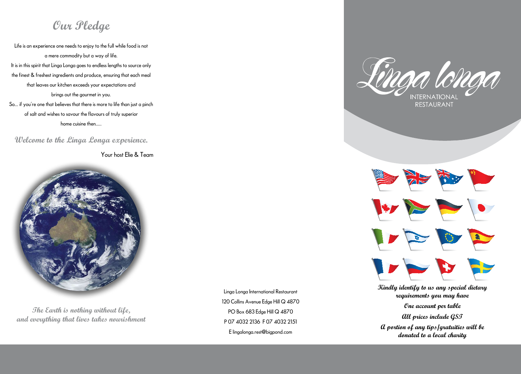**Kindly identify to us any special dietary requirements you may have One account per table All prices include GST** 

**A portion of any tips/gratuities will be donated to a local charity**

Linga Longa International Restaurant 120 Collins Avenue Edge Hill Q 4870 PO Box 683 Edge Hill Q 4870 P 07 4032 2136 F 07 4032 2151 E lingalonga.rest@bigpond.com





### **Our Pledge**

Life is an experience one needs to enjoy to the full while food is not a mere commodity but a way of life. It is in this spirit that Linga Longa goes to endless lengths to source only the finest & freshest ingredients and produce, ensuring that each meal that leaves our kitchen exceeds your expectations and brings out the gourmet in you. So... if you're one that believes that there is more to life than just a pinch of salt and wishes to savour the flavours of truly superior

home cuisine then.....

**Welcome to the Linga Longa experience.**

Your host Elie & Team



**The Earth is nothing without life, and everything that lives takes nourishment**